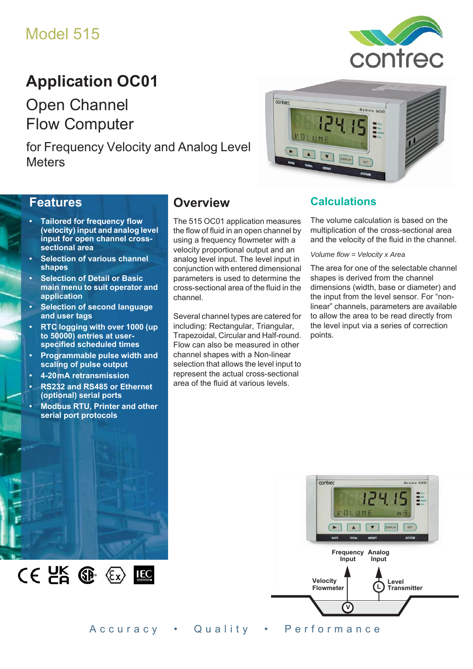# Model 515

# **Application OC01**

Open Channel Flow Computer

for Frequency Velocity and Analog Level **Meters** 



### **Features**

- **Tailored for frequency flow (velocity) input and analog level input for open channel crosssectional area**
- **Selection of various channel shapes**
- **Selection of Detail or Basic main menu to suit operator and application**
- **Selection of second language and user tags**
- **RTC logging with over 1000 (up to 50000) entries at userspecified scheduled times**
- **Programmable pulse width and scaling of pulse output**
- **4-20 mA retransmission**
- **RS232 and RS485 or Ethernet (optional) serial ports**
- **Modbus RTU, Printer and other serial port protocols**

 $CE$   $E$   $E$   $E$   $E$ 

## **Overview**

The 515 OC01 application measures the flow of fluid in an open channel by using a frequency flowmeter with a velocity proportional output and an analog level input. The level input in conjunction with entered dimensional parameters is used to determine the cross-sectional area of the fluid in the channel.

Several channel types are catered for including: Rectangular, Triangular, Trapezoidal, Circular and Half-round. Flow can also be measured in other channel shapes with a Non-linear selection that allows the level input to represent the actual cross-sectional area of the fluid at various levels.

### **Calculations**

The volume calculation is based on the multiplication of the cross-sectional area and the velocity of the fluid in the channel.

contrec

#### *Volume flow = Velocity x Area*

The area for one of the selectable channel shapes is derived from the channel dimensions (width, base or diameter) and the input from the level sensor. For "nonlinear" channels, parameters are available to allow the area to be read directly from the level input via a series of correction points.



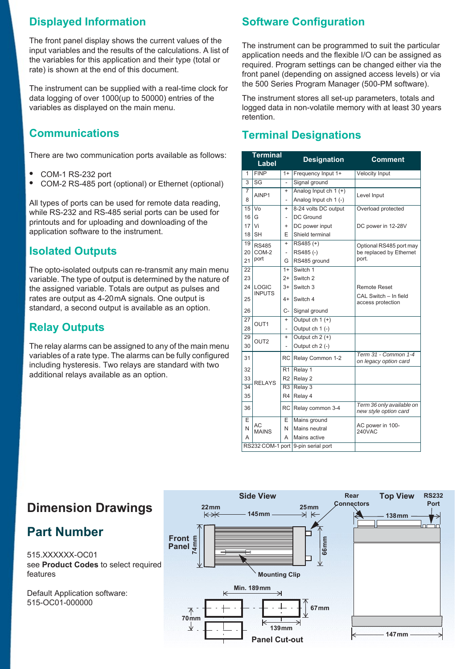## **Displayed Information**

The front panel display shows the current values of the input variables and the results of the calculations. A list of the variables for this application and their type (total or rate) is shown at the end of this document.

The instrument can be supplied with a real-time clock for data logging of over 1000(up to 50000) entries of the variables as displayed on the main menu.

## **Communications**

There are two communication ports available as follows:

- **•** COM-1 RS-232 port
- **•** COM-2 RS-485 port (optional) or Ethernet (optional)

All types of ports can be used for remote data reading, while RS-232 and RS-485 serial ports can be used for printouts and for uploading and downloading of the application software to the instrument.

## **Isolated Outputs**

The opto-isolated outputs can re-transmit any main menu variable. The type of output is determined by the nature of the assigned variable. Totals are output as pulses and rates are output as 4-20 mA signals. One output is standard, a second output is available as an option.

## **Relay Outputs**

The relay alarms can be assigned to any of the main menu variables of a rate type. The alarms can be fully configured including hysteresis. Two relays are standard with two additional relays available as an option.

## **Software Configuration**

The instrument can be programmed to suit the particular application needs and the flexible I/O can be assigned as required. Program settings can be changed either via the front panel (depending on assigned access levels) or via the 500 Series Program Manager (500-PM software).

The instrument stores all set-up parameters, totals and logged data in non-volatile memory with at least 30 years retention.

## **Terminal Designations**

|                                    | <b>Terminal</b><br>Label |                | <b>Designation</b>     | <b>Comment</b>                                     |  |  |
|------------------------------------|--------------------------|----------------|------------------------|----------------------------------------------------|--|--|
| 1                                  | <b>FINP</b><br>$1+$      |                | Frequency Input 1+     | <b>Velocity Input</b>                              |  |  |
| 3                                  | SG                       | $\overline{a}$ | Signal ground          |                                                    |  |  |
| $\overline{7}$                     | AINP1                    | $\ddot{}$      | Analog Input ch 1 (+)  | Level Input                                        |  |  |
| 8                                  |                          | L,             | Analog Input ch 1 (-)  |                                                    |  |  |
| 15                                 | $\overline{V}$           | $\ddot{}$      | 8-24 volts DC output   | Overload protected                                 |  |  |
| 16                                 | G                        | $\overline{a}$ | <b>DC Ground</b>       |                                                    |  |  |
| 17                                 | Vi                       | $\ddot{}$      | DC power input         | DC power in 12-28V                                 |  |  |
| 18                                 | <b>SH</b>                | E              | Shield terminal        |                                                    |  |  |
| 19                                 | <b>RS485</b>             | $\ddot{}$      | $RS485 (+)$            | Optional RS485 port may                            |  |  |
| 20                                 | COM-2                    | $\overline{a}$ | RS485(-)               | be replaced by Ethernet                            |  |  |
| 21                                 | port                     | G              | RS485 ground           | port.                                              |  |  |
| $\overline{22}$                    |                          | $1+$           | Switch 1               |                                                    |  |  |
| 23                                 |                          | $2+$           | Switch 2               |                                                    |  |  |
| 24                                 | LOGIC                    | $3+$           | Switch 3               | <b>Remote Reset</b>                                |  |  |
| 25                                 | <b>INPUTS</b>            | $4+$           | Switch 4               | CAL Switch - In field<br>access protection         |  |  |
| 26                                 |                          | C-             | Signal ground          |                                                    |  |  |
| 27                                 | OUT <sub>1</sub>         | $\ddot{}$      | Output ch $1 (+)$      |                                                    |  |  |
| 28                                 |                          | $\overline{a}$ | Output ch 1 (-)        |                                                    |  |  |
| 29                                 | OUT <sub>2</sub>         | $\ddot{}$      | Output $ch 2 (+)$      |                                                    |  |  |
| 30                                 |                          |                | Output ch 2 (-)        |                                                    |  |  |
| 31                                 |                          | RC             | Relay Common 1-2       | Term 31 - Common 1-4<br>on legacy option card      |  |  |
| 32                                 |                          | R1             | Relay 1                |                                                    |  |  |
| 33                                 | <b>RELAYS</b>            |                | R <sub>2</sub> Relay 2 |                                                    |  |  |
| 34                                 |                          | R3             | Relay 3                |                                                    |  |  |
| 35                                 |                          | R4             | Relay 4                |                                                    |  |  |
| 36                                 |                          | RC.            | Relay common 3-4       | Term 36 only available on<br>new style option card |  |  |
| E                                  |                          | E              | Mains ground           |                                                    |  |  |
| N                                  | AC<br><b>MAINS</b>       | N              | Mains neutral          | AC power in 100-<br><b>240VAC</b>                  |  |  |
| А                                  |                          |                | Mains active           |                                                    |  |  |
| RS232 COM-1 port 9-pin serial port |                          |                |                        |                                                    |  |  |

## **Dimension Drawings**

## **Part Number**

515.XXXXXX-OC01 see **[Product Codes](#page-3-0)** to select required features

Default Application software: 515-OC01-000000

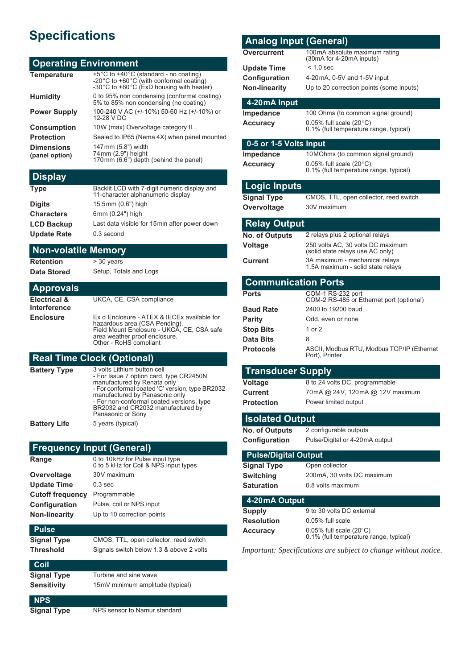## **Specifications**

### **Operating Environment**

| +5°C to +40°C (standard - no coating)<br>-20°C to +60°C (with conformal coating)<br>-30°C to +60°C (ExD housing with heater) |
|------------------------------------------------------------------------------------------------------------------------------|
| 0 to 95% non condensing (conformal coating)<br>5% to 85% non condensing (no coating)                                         |
| 100-240 V AC (+/-10%) 50-60 Hz (+/-10%) or<br>12-28 V DC                                                                     |
| 10W (max) Overvoltage category II                                                                                            |
| Sealed to IP65 (Nema 4X) when panel mounted                                                                                  |
| 147 mm (5.8") width<br>74 mm (2.9") height<br>170 mm (6.6") depth (behind the panel)                                         |
|                                                                                                                              |

## **Display**

| <b>Type</b>        | Backlit LCD with 7-digit numeric display and<br>11-character alphanumeric display |
|--------------------|-----------------------------------------------------------------------------------|
| <b>Digits</b>      | 15.5mm (0.6") high                                                                |
| <b>Characters</b>  | 6mm (0.24") high                                                                  |
| <b>LCD Backup</b>  | Last data visible for 15 min after power down                                     |
| <b>Update Rate</b> | 0.3 second                                                                        |

#### **Non-volatile Memory**

**Retention** > 30 years

**Data Stored** Setup, Totals and Logs

#### **Approvals**

| Electrical &<br>Interference | UKCA, CE, CSA compliance                                                                                                                                                              |
|------------------------------|---------------------------------------------------------------------------------------------------------------------------------------------------------------------------------------|
| Enclosure                    | Ex d Enclosure - ATEX & IECEx available for<br>hazardous area (CSA Pending).<br>Field Mount Enclosure - UKCA, CE, CSA safe<br>area weather proof enclosure.<br>Other - RoHS compliant |

## **Real Time Clock (Optional)**

| <b>Battery Type</b> | 3 volts Lithium button cell<br>- For Issue 7 option card, type CR2450N<br>manufactured by Renata only<br>- For conformal coated 'C' version, type BR2032<br>manufactured by Panasonic only<br>- For non-conformal coated versions, type<br>BR2032 and CR2032 manufactured by<br>Panasonic or Sony |
|---------------------|---------------------------------------------------------------------------------------------------------------------------------------------------------------------------------------------------------------------------------------------------------------------------------------------------|
| <b>Battery Life</b> | 5 years (typical)                                                                                                                                                                                                                                                                                 |

### **Frequency Input (General)**

| Range                   | 0 to 10 kHz for Pulse input type<br>0 to 5 kHz for Coil & NPS input types |
|-------------------------|---------------------------------------------------------------------------|
| Overvoltage             | 30V maximum                                                               |
| <b>Update Time</b>      | $0.3$ sec                                                                 |
| <b>Cutoff frequency</b> | Programmable                                                              |
| Configuration           | Pulse, coil or NPS input                                                  |
| <b>Non-linearity</b>    | Up to 10 correction points                                                |
|                         |                                                                           |

#### **Pulse**

```
Signal Type CMOS, TTL, open collector, reed switch
Threshold Signals switch below 1.3 & above 2 volts
```

| Coil               |                                  |
|--------------------|----------------------------------|
| <b>Signal Type</b> | Turbine and sine wave            |
| <b>Sensitivity</b> | 15mV minimum amplitude (typical) |

#### **NPS**

**Signal Type** NPS sensor to Namur standard

| <b>Analog Input (General)</b>                                   |                                                                                 |
|-----------------------------------------------------------------|---------------------------------------------------------------------------------|
| Overcurrent                                                     | 100mA absolute maximum rating<br>(30mA for 4-20mA inputs)                       |
| <b>Update Time</b>                                              | $< 1.0$ sec                                                                     |
| Configuration                                                   | 4-20 mA, 0-5V and 1-5V input                                                    |
| <b>Non-linearity</b>                                            | Up to 20 correction points (some inputs)                                        |
| 4-20 mA Input                                                   |                                                                                 |
| <b>Impedance</b>                                                | 100 Ohms (to common signal ground)                                              |
| <b>Accuracy</b>                                                 | $0.05\%$ full scale (20 $\degree$ C)                                            |
|                                                                 | 0.1% (full temperature range, typical)                                          |
| 0-5 or 1-5 Volts Input                                          |                                                                                 |
| <b>Impedance</b>                                                | 10 MOhms (to common signal ground)                                              |
| <b>Accuracy</b>                                                 | 0.05% full scale $(20^{\circ}C)$<br>0.1% (full temperature range, typical)      |
| <b>Logic Inputs</b>                                             |                                                                                 |
| <b>Signal Type</b>                                              | CMOS, TTL, open collector, reed switch                                          |
| Overvoltage                                                     | 30V maximum                                                                     |
| <b>Relay Output</b>                                             |                                                                                 |
| <b>No. of Outputs</b>                                           | 2 relays plus 2 optional relays                                                 |
| Voltage                                                         | 250 volts AC, 30 volts DC maximum<br>(solid state relays use AC only)           |
| Current                                                         | 3A maximum - mechanical relays<br>1.5A maximum - solid state relays             |
| <b>Communication Ports</b>                                      |                                                                                 |
| <b>Ports</b>                                                    | COM-1 RS-232 port                                                               |
|                                                                 | COM-2 RS-485 or Ethernet port (optional)                                        |
| <b>Baud Rate</b>                                                | 2400 to 19200 baud                                                              |
| <b>Parity</b>                                                   | Odd, even or none                                                               |
| <b>Stop Bits</b><br>Data Bits                                   | 1 or 2<br>8                                                                     |
| <b>Protocols</b>                                                | ASCII, Modbus RTU, Modbus TCP/IP (Ethernet                                      |
|                                                                 | Port), Printer                                                                  |
| <b>Transducer Supply</b>                                        |                                                                                 |
| <b>Voltage</b>                                                  | 8 to 24 volts DC, programmable                                                  |
| Current                                                         | 70mA @ 24V, 120mA @ 12V maximum                                                 |
| <b>Protection</b>                                               | Power limited output                                                            |
| <b>Isolated Output</b>                                          |                                                                                 |
| <b>No. of Outputs</b>                                           | 2 configurable outputs                                                          |
| Configuration                                                   | Pulse/Digital or 4-20mA output                                                  |
| <b>Pulse/Digital Output</b>                                     |                                                                                 |
| <b>Signal Type</b>                                              | Open collector                                                                  |
| <b>Switching</b>                                                | 200 mA, 30 volts DC maximum                                                     |
| <b>Saturation</b>                                               | 0.8 volts maximum                                                               |
| 4-20 mA Output                                                  |                                                                                 |
| <b>Supply</b>                                                   | 9 to 30 volts DC external                                                       |
| <b>Resolution</b>                                               | 0.05% full scale                                                                |
| <b>Accuracy</b>                                                 | $0.05\%$ full scale (20 $^{\circ}$ C)<br>0.1% (full temperature range, typical) |
| Important: Specifications are subject to change without notice. |                                                                                 |